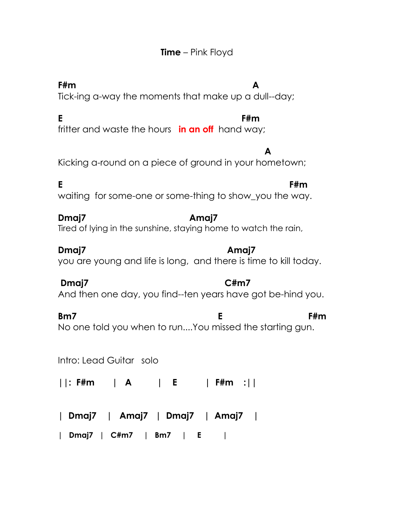## **Time** – Pink Floyd

## **F#m A**

Tick-ing a-way the moments that make up a dull--day;

### **E F#m**

fritter and waste the hours **in an off** hand way;

 **A** Kicking a-round on a piece of ground in your hometown;

**E** F#m waiting for some-one or some-thing to show\_you the way.

## **Dmaj7 Amaj7**

Tired of lying in the sunshine, staying home to watch the rain,

**Dmaj7 Amaj7**  you are young and life is long, and there is time to kill today.

# **Dmaj7 C#m7**

And then one day, you find--ten years have got be-hind you.

**Bm7 E** F#m No one told you when to run....You missed the starting gun.

Intro: Lead Guitar solo

**||: F#m | A | E | F#m :||**

**| Dmaj7 | Amaj7 | Dmaj7 | Amaj7 |**

**| Dmaj7 | C#m7 | Bm7 | E |**